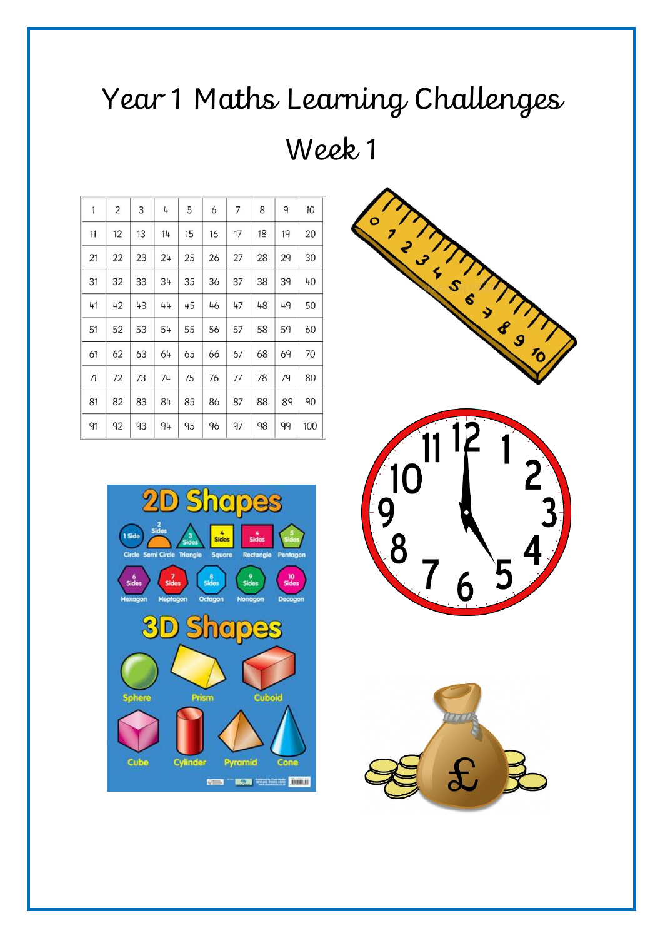# Year 1 Maths Learning Challenges Week 1

| $\overline{1}$<br>$\overline{2}$<br>3<br>7<br>8<br>4<br>5<br>9<br>6<br>11<br>13<br>14<br>15<br>16<br>18<br>19<br>12<br>17<br>22<br>23<br>24<br>27<br>28<br>29<br>21<br>25<br>26<br>34<br>38<br>31<br>32<br>33<br>35<br>37<br>39<br>36<br>43<br>48<br>41<br>42<br>44<br>45<br>46<br>47<br>49<br>51<br>52<br>53<br>54<br>55<br>58<br>56<br>57<br>59 |    |    |    |    |    |    |    |    |    |     |
|---------------------------------------------------------------------------------------------------------------------------------------------------------------------------------------------------------------------------------------------------------------------------------------------------------------------------------------------------|----|----|----|----|----|----|----|----|----|-----|
|                                                                                                                                                                                                                                                                                                                                                   |    |    |    |    |    |    |    |    |    | 10  |
|                                                                                                                                                                                                                                                                                                                                                   |    |    |    |    |    |    |    |    |    | 20  |
|                                                                                                                                                                                                                                                                                                                                                   |    |    |    |    |    |    |    |    |    | 30  |
|                                                                                                                                                                                                                                                                                                                                                   |    |    |    |    |    |    |    |    |    | 40  |
|                                                                                                                                                                                                                                                                                                                                                   |    |    |    |    |    |    |    |    |    | 50  |
|                                                                                                                                                                                                                                                                                                                                                   |    |    |    |    |    |    |    |    |    | 60  |
|                                                                                                                                                                                                                                                                                                                                                   | 61 | 62 | 63 | 64 | 65 | 66 | 67 | 68 | 69 | 70  |
| 74<br>71<br>72<br>73<br>75<br>78<br>79<br>76<br>77                                                                                                                                                                                                                                                                                                |    |    |    |    |    |    |    |    |    | 80  |
| 88<br>81<br>82<br>83<br>84<br>85<br>86<br>87<br>89                                                                                                                                                                                                                                                                                                |    |    |    |    |    |    |    |    |    | 90  |
| 92<br>91<br>93<br>94<br>95<br>96<br>97<br>98<br>99                                                                                                                                                                                                                                                                                                |    |    |    |    |    |    |    |    |    | 100 |



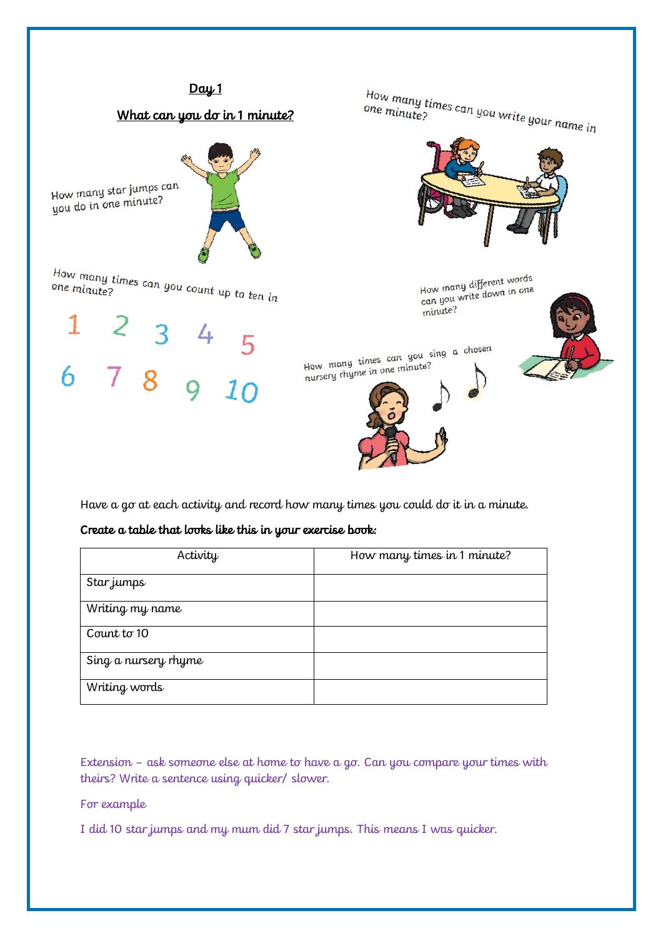

Have a go at each activity and record how many times you could do it in a minute.

#### Create a table that looks like this in your exercise book:

| Activity             | How many times in 1 minute? |
|----------------------|-----------------------------|
| Star jumps           |                             |
| Writing my name      |                             |
| Count to 10          |                             |
| Sing a nursery rhyme |                             |
| Writing words        |                             |

Extension – ask someone else at home to have a go. Can you compare your times with theirs? Write a sentence using quicker/ slower.

For example

I did 10 star jumps and my mum did 7 star jumps. This means I was quicker.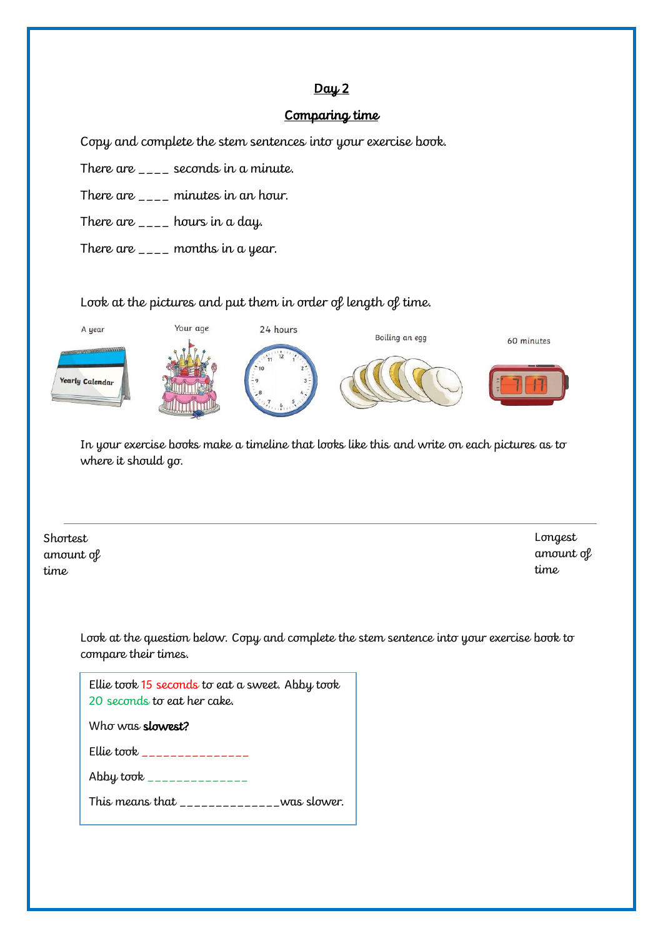## $Day 2$

#### Comparing time

Copy and complete the stem sentences into your exercise book.

There are  $\angle$   $\angle$   $\angle$  seconds in a minute.

There are  $_{---}$  minutes in an hour.

There are  $\overline{\phantom{a}}$  =  $\overline{\phantom{a}}$  hours in a day.

There are  $\overline{\phantom{a}}$  =  $\overline{\phantom{a}}$  months in a year.

#### Look at the pictures and put them in order of length of time.



In your exercise books make a timeline that looks like this and write on each pictures as to where it should go.

**Shortest** amount of time

Longest amount of time

Look at the question below. Copy and complete the stem sentence into your exercise book to compare their times.

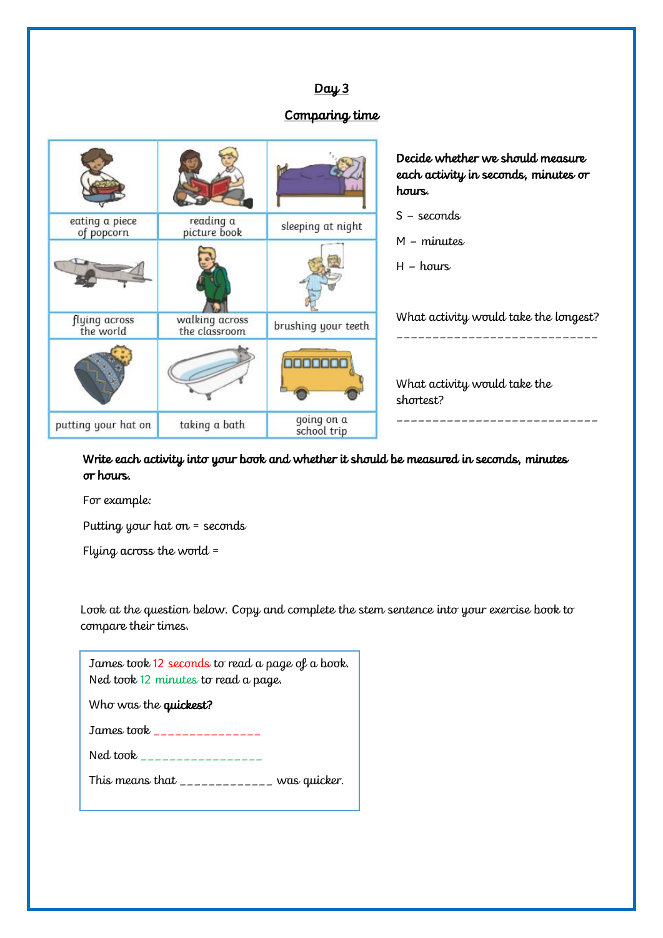# $Day 3$

# Comparing time

|                              |                                 |                           | Decide whether we should measure<br>each activity in seconds, minutes or<br>hours. |
|------------------------------|---------------------------------|---------------------------|------------------------------------------------------------------------------------|
| eating a piece<br>of popcorn | reading a<br>picture book       | sleeping at night         | $S -$ seconds<br>$M$ – minutes                                                     |
|                              |                                 |                           | $H - hours$                                                                        |
| flying across<br>the world   | walking across<br>the classroom | brushing your teeth       | What activity would take the longest?                                              |
|                              |                                 |                           | What activity would take the<br>shortest?                                          |
| putting your hat on          | taking a bath                   | going on a<br>school trip |                                                                                    |

Write each activity into your book and whether it should be measured in seconds, minutes or hours.

For example:

Putting your hat on = seconds

Flying across the world =

Look at the question below. Copy and complete the stem sentence into your exercise book to compare their times.

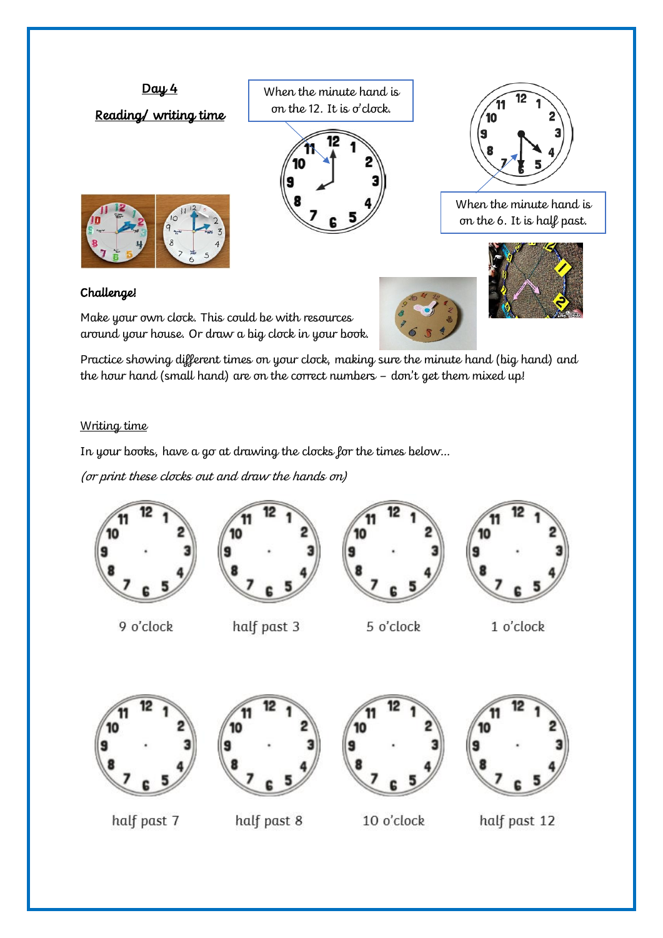

## Challenge!

Make your own clock. This could be with resources around your house. Or draw a big clock in your book.





Practice showing different times on your clock, making sure the minute hand (big hand) and the hour hand (small hand) are on the correct numbers – don't get them mixed up!

## Writing time

In your books, have a go at drawing the clocks for the times below…

(or print these clocks out and draw the hands on)